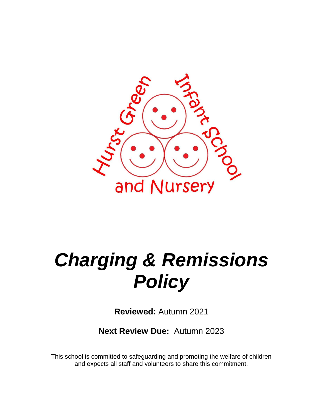

# *Charging & Remissions Policy*

**Reviewed:** Autumn 2021

**Next Review Due:** Autumn 2023

This school is committed to safeguarding and promoting the welfare of children and expects all staff and volunteers to share this commitment.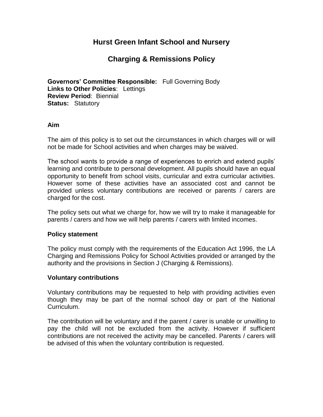## **Hurst Green Infant School and Nursery**

## **Charging & Remissions Policy**

**Governors' Committee Responsible:** Full Governing Body **Links to Other Policies**: Lettings **Review Period**: Biennial **Status:** Statutory

#### **Aim**

The aim of this policy is to set out the circumstances in which charges will or will not be made for School activities and when charges may be waived.

The school wants to provide a range of experiences to enrich and extend pupils' learning and contribute to personal development. All pupils should have an equal opportunity to benefit from school visits, curricular and extra curricular activities. However some of these activities have an associated cost and cannot be provided unless voluntary contributions are received or parents / carers are charged for the cost.

The policy sets out what we charge for, how we will try to make it manageable for parents / carers and how we will help parents / carers with limited incomes.

#### **Policy statement**

The policy must comply with the requirements of the Education Act 1996, the LA Charging and Remissions Policy for School Activities provided or arranged by the authority and the provisions in Section J (Charging & Remissions).

#### **Voluntary contributions**

Voluntary contributions may be requested to help with providing activities even though they may be part of the normal school day or part of the National Curriculum.

The contribution will be voluntary and if the parent / carer is unable or unwilling to pay the child will not be excluded from the activity. However if sufficient contributions are not received the activity may be cancelled. Parents / carers will be advised of this when the voluntary contribution is requested.